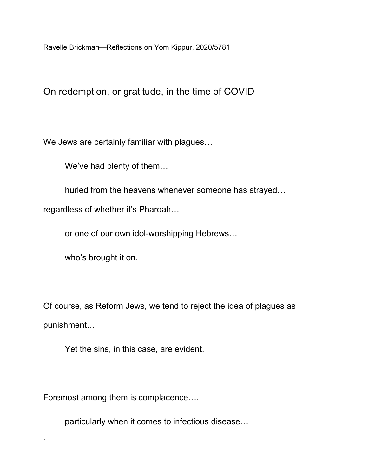Ravelle Brickman—Reflections on Yom Kippur, 2020/5781

On redemption, or gratitude, in the time of COVID

We Jews are certainly familiar with plagues…

We've had plenty of them…

hurled from the heavens whenever someone has strayed…

regardless of whether it's Pharoah…

or one of our own idol-worshipping Hebrews…

who's brought it on.

Of course, as Reform Jews, we tend to reject the idea of plagues as punishment…

Yet the sins, in this case, are evident.

Foremost among them is complacence….

particularly when it comes to infectious disease…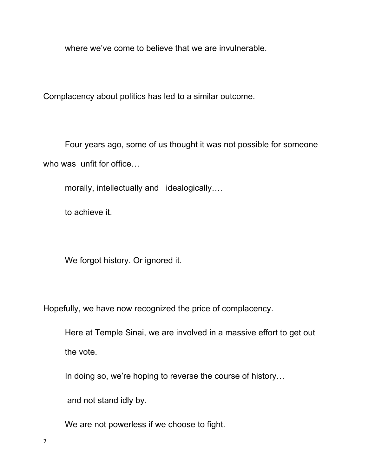where we've come to believe that we are invulnerable.

Complacency about politics has led to a similar outcome.

Four years ago, some of us thought it was not possible for someone who was unfit for office...

morally, intellectually and idealogically….

to achieve it.

We forgot history. Or ignored it.

Hopefully, we have now recognized the price of complacency.

Here at Temple Sinai, we are involved in a massive effort to get out the vote.

In doing so, we're hoping to reverse the course of history…

and not stand idly by.

We are not powerless if we choose to fight.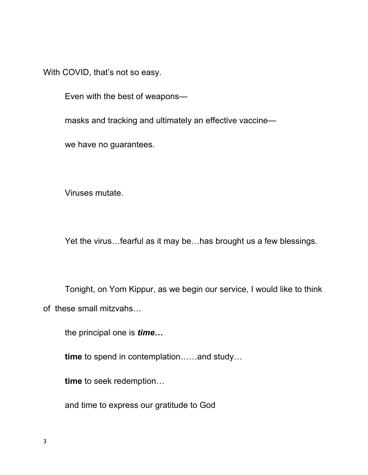With COVID, that's not so easy.

Even with the best of weapons—

masks and tracking and ultimately an effective vaccine—

we have no guarantees.

Viruses mutate.

Yet the virus…fearful as it may be…has brought us a few blessings.

Tonight, on Yom Kippur, as we begin our service, I would like to think of these small mitzvahs…

the principal one is *time…*

**time** to spend in contemplation……and study…

**time** to seek redemption…

and time to express our gratitude to God